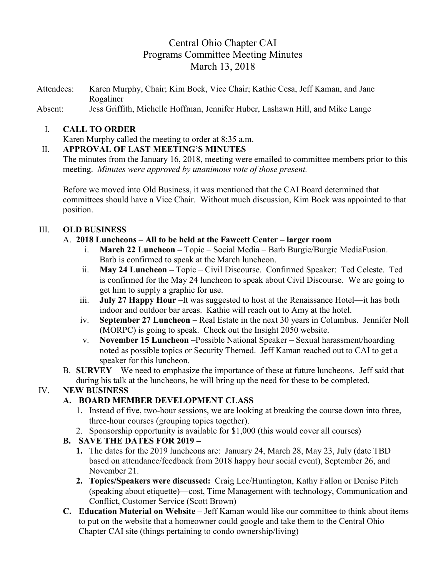# Central Ohio Chapter CAI Programs Committee Meeting Minutes March 13, 2018

Attendees: Karen Murphy, Chair; Kim Bock, Vice Chair; Kathie Cesa, Jeff Kaman, and Jane Rogaliner

Absent: Jess Griffith, Michelle Hoffman, Jennifer Huber, Lashawn Hill, and Mike Lange

#### I. **CALL TO ORDER**

Karen Murphy called the meeting to order at 8:35 a.m.

#### II. **APPROVAL OF LAST MEETING'S MINUTES**

The minutes from the January 16, 2018, meeting were emailed to committee members prior to this meeting. *Minutes were approved by unanimous vote of those present.*

Before we moved into Old Business, it was mentioned that the CAI Board determined that committees should have a Vice Chair. Without much discussion, Kim Bock was appointed to that position.

### III. **OLD BUSINESS**

#### A. **2018 Luncheons – All to be held at the Fawcett Center – larger room**

- i. **March 22 Luncheon –** Topic Social Media Barb Burgie/Burgie MediaFusion. Barb is confirmed to speak at the March luncheon.
- ii. **May 24 Luncheon –** Topic Civil Discourse.Confirmed Speaker: Ted Celeste. Ted is confirmed for the May 24 luncheon to speak about Civil Discourse. We are going to get him to supply a graphic for use.
- iii. **July 27 Happy Hour –**It was suggested to host at the Renaissance Hotel—it has both indoor and outdoor bar areas. Kathie will reach out to Amy at the hotel.
- iv. **September 27 Luncheon –** Real Estate in the next 30 years in Columbus. Jennifer Noll (MORPC) is going to speak. Check out the Insight 2050 website.
- v. **November 15 Luncheon –**Possible National Speaker Sexual harassment/hoarding noted as possible topics or Security Themed. Jeff Kaman reached out to CAI to get a speaker for this luncheon.
- B. **SURVEY**  We need to emphasize the importance of these at future luncheons. Jeff said that during his talk at the luncheons, he will bring up the need for these to be completed.

### IV. **NEW BUSINESS**

### **A. BOARD MEMBER DEVELOPMENT CLASS**

- 1. Instead of five, two-hour sessions, we are looking at breaking the course down into three, three-hour courses (grouping topics together).
- 2. Sponsorship opportunity is available for \$1,000 (this would cover all courses)

### **B. SAVE THE DATES FOR 2019 –**

- **1.** The dates for the 2019 luncheons are: January 24, March 28, May 23, July (date TBD based on attendance/feedback from 2018 happy hour social event), September 26, and November 21.
- **2. Topics/Speakers were discussed:** Craig Lee/Huntington, Kathy Fallon or Denise Pitch (speaking about etiquette)—cost, Time Management with technology, Communication and Conflict, Customer Service (Scott Brown)
- **C. Education Material on Website** Jeff Kaman would like our committee to think about items to put on the website that a homeowner could google and take them to the Central Ohio Chapter CAI site (things pertaining to condo ownership/living)